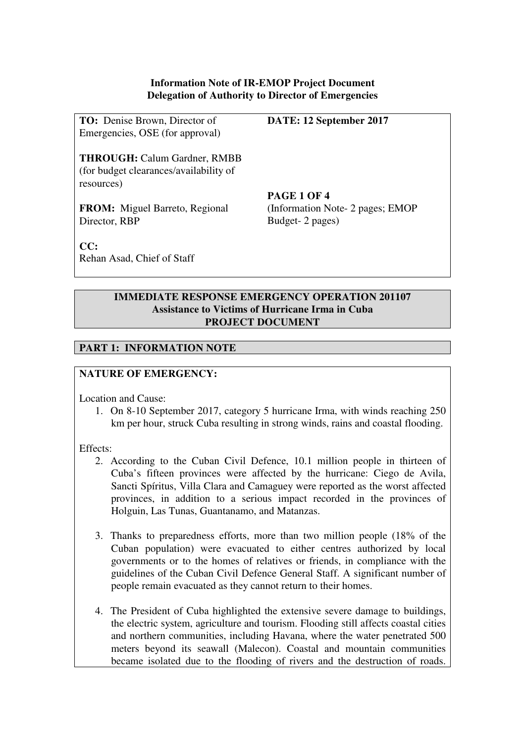#### **Information Note of IR-EMOP Project Document Delegation of Authority to Director of Emergencies**

**TO:** Denise Brown, Director of Emergencies, OSE (for approval) **THROUGH:** Calum Gardner, RMBB

(for budget clearances/availability of resources)

**FROM:** Miguel Barreto, Regional Director, RBP

**CC:**  Rehan Asad, Chief of Staff **DATE: 12 September 2017** 

**PAGE 1 OF 4**  (Information Note- 2 pages; EMOP Budget- 2 pages)

#### **IMMEDIATE RESPONSE EMERGENCY OPERATION 201107 Assistance to Victims of Hurricane Irma in Cuba PROJECT DOCUMENT**

### **PART 1: INFORMATION NOTE**

#### **NATURE OF EMERGENCY:**

Location and Cause:

1. On 8-10 September 2017, category 5 hurricane Irma, with winds reaching 250 km per hour, struck Cuba resulting in strong winds, rains and coastal flooding.

Effects:

- 2. According to the Cuban Civil Defence, 10.1 million people in thirteen of Cuba's fifteen provinces were affected by the hurricane: Ciego de Avila, Sancti Spíritus, Villa Clara and Camaguey were reported as the worst affected provinces, in addition to a serious impact recorded in the provinces of Holguin, Las Tunas, Guantanamo, and Matanzas.
- 3. Thanks to preparedness efforts, more than two million people (18% of the Cuban population) were evacuated to either centres authorized by local governments or to the homes of relatives or friends, in compliance with the guidelines of the Cuban Civil Defence General Staff. A significant number of people remain evacuated as they cannot return to their homes.
- 4. The President of Cuba highlighted the extensive severe damage to buildings, the electric system, agriculture and tourism. Flooding still affects coastal cities and northern communities, including Havana, where the water penetrated 500 meters beyond its seawall (Malecon). Coastal and mountain communities became isolated due to the flooding of rivers and the destruction of roads.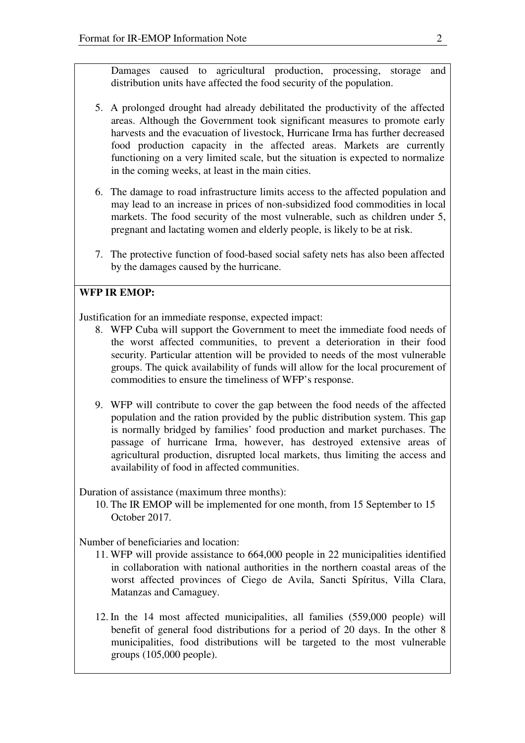Damages caused to agricultural production, processing, storage and distribution units have affected the food security of the population.

- 5. A prolonged drought had already debilitated the productivity of the affected areas. Although the Government took significant measures to promote early harvests and the evacuation of livestock, Hurricane Irma has further decreased food production capacity in the affected areas. Markets are currently functioning on a very limited scale, but the situation is expected to normalize in the coming weeks, at least in the main cities.
- 6. The damage to road infrastructure limits access to the affected population and may lead to an increase in prices of non-subsidized food commodities in local markets. The food security of the most vulnerable, such as children under 5, pregnant and lactating women and elderly people, is likely to be at risk.
- 7. The protective function of food-based social safety nets has also been affected by the damages caused by the hurricane.

# **WFP IR EMOP:**

Justification for an immediate response, expected impact:

- 8. WFP Cuba will support the Government to meet the immediate food needs of the worst affected communities, to prevent a deterioration in their food security. Particular attention will be provided to needs of the most vulnerable groups. The quick availability of funds will allow for the local procurement of commodities to ensure the timeliness of WFP's response.
- 9. WFP will contribute to cover the gap between the food needs of the affected population and the ration provided by the public distribution system. This gap is normally bridged by families' food production and market purchases. The passage of hurricane Irma, however, has destroyed extensive areas of agricultural production, disrupted local markets, thus limiting the access and availability of food in affected communities.

Duration of assistance (maximum three months):

10. The IR EMOP will be implemented for one month, from 15 September to 15 October 2017.

Number of beneficiaries and location:

- 11. WFP will provide assistance to 664,000 people in 22 municipalities identified in collaboration with national authorities in the northern coastal areas of the worst affected provinces of Ciego de Avila, Sancti Spíritus, Villa Clara, Matanzas and Camaguey.
- 12. In the 14 most affected municipalities, all families (559,000 people) will benefit of general food distributions for a period of 20 days. In the other 8 municipalities, food distributions will be targeted to the most vulnerable groups (105,000 people).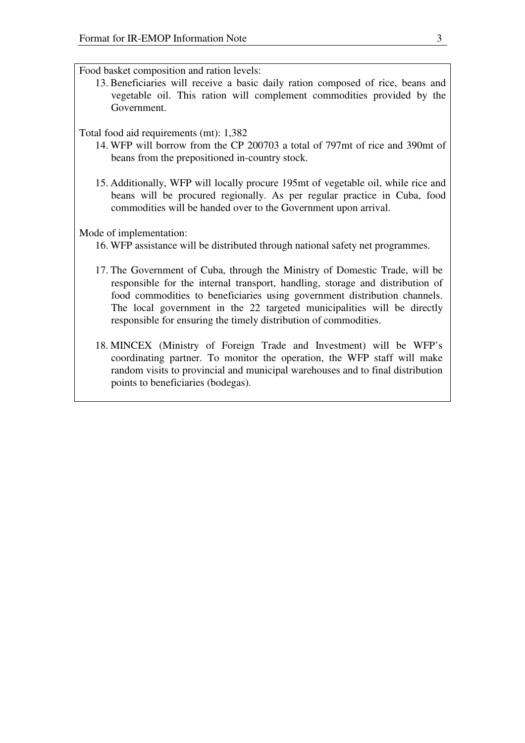Food basket composition and ration levels:

13. Beneficiaries will receive a basic daily ration composed of rice, beans and vegetable oil. This ration will complement commodities provided by the Government.

Total food aid requirements (mt): 1,382

- 14. WFP will borrow from the CP 200703 a total of 797mt of rice and 390mt of beans from the prepositioned in-country stock.
- 15. Additionally, WFP will locally procure 195mt of vegetable oil, while rice and beans will be procured regionally. As per regular practice in Cuba, food commodities will be handed over to the Government upon arrival.

Mode of implementation:

16. WFP assistance will be distributed through national safety net programmes.

- 17. The Government of Cuba, through the Ministry of Domestic Trade, will be responsible for the internal transport, handling, storage and distribution of food commodities to beneficiaries using government distribution channels. The local government in the 22 targeted municipalities will be directly responsible for ensuring the timely distribution of commodities.
- 18. MINCEX (Ministry of Foreign Trade and Investment) will be WFP's coordinating partner. To monitor the operation, the WFP staff will make random visits to provincial and municipal warehouses and to final distribution points to beneficiaries (bodegas).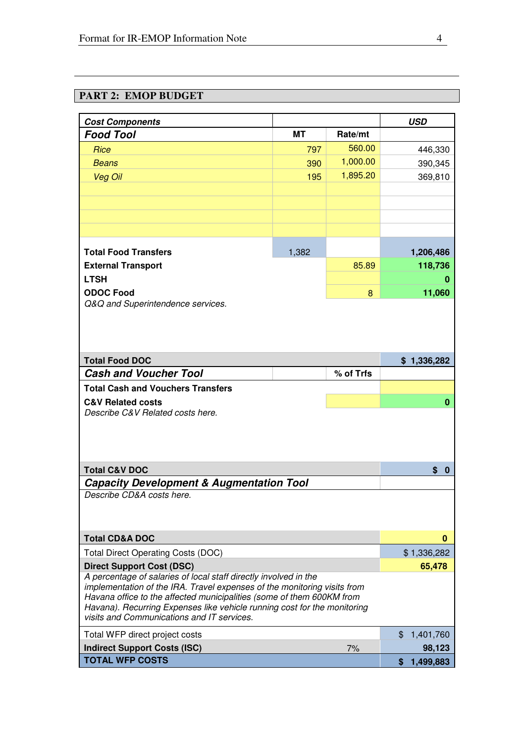# **PART 2: EMOP BUDGET**

| <b>Cost Components</b>                                                                                                                       |           |           | <b>USD</b>                  |
|----------------------------------------------------------------------------------------------------------------------------------------------|-----------|-----------|-----------------------------|
| <b>Food Tool</b>                                                                                                                             | <b>MT</b> | Rate/mt   |                             |
| <b>Rice</b>                                                                                                                                  | 797       | 560.00    | 446,330                     |
| <b>Beans</b>                                                                                                                                 | 390       | 1,000.00  | 390,345                     |
| <b>Veg Oil</b>                                                                                                                               | 195       | 1,895.20  | 369,810                     |
|                                                                                                                                              |           |           |                             |
|                                                                                                                                              |           |           |                             |
|                                                                                                                                              |           |           |                             |
|                                                                                                                                              |           |           |                             |
| <b>Total Food Transfers</b>                                                                                                                  | 1,382     |           | 1,206,486                   |
| <b>External Transport</b>                                                                                                                    |           | 85.89     | 118,736                     |
| <b>LTSH</b>                                                                                                                                  |           |           | O                           |
| <b>ODOC Food</b>                                                                                                                             |           | 8         | 11,060                      |
| Q&Q and Superintendence services.                                                                                                            |           |           |                             |
|                                                                                                                                              |           |           |                             |
|                                                                                                                                              |           |           |                             |
|                                                                                                                                              |           |           |                             |
| <b>Total Food DOC</b>                                                                                                                        |           |           | \$1,336,282                 |
| <b>Cash and Voucher Tool</b>                                                                                                                 |           | % of Trfs |                             |
| <b>Total Cash and Vouchers Transfers</b>                                                                                                     |           |           |                             |
| <b>C&amp;V Related costs</b>                                                                                                                 |           |           | 0                           |
| Describe C&V Related costs here.                                                                                                             |           |           |                             |
|                                                                                                                                              |           |           |                             |
|                                                                                                                                              |           |           |                             |
|                                                                                                                                              |           |           |                             |
| <b>Total C&amp;V DOC</b>                                                                                                                     |           |           | \$<br>0                     |
| <b>Capacity Development &amp; Augmentation Tool</b>                                                                                          |           |           |                             |
| Describe CD&A costs here.                                                                                                                    |           |           |                             |
|                                                                                                                                              |           |           |                             |
|                                                                                                                                              |           |           |                             |
| <b>Total CD&amp;A DOC</b>                                                                                                                    |           |           | 0                           |
| <b>Total Direct Operating Costs (DOC)</b>                                                                                                    |           |           | \$1,336,282                 |
| <b>Direct Support Cost (DSC)</b>                                                                                                             |           |           | 65,478                      |
| A percentage of salaries of local staff directly involved in the<br>implementation of the IRA. Travel expenses of the monitoring visits from |           |           |                             |
| Havana office to the affected municipalities (some of them 600KM from                                                                        |           |           |                             |
| Havana). Recurring Expenses like vehicle running cost for the monitoring                                                                     |           |           |                             |
| visits and Communications and IT services.                                                                                                   |           |           |                             |
| Total WFP direct project costs                                                                                                               |           |           | $\mathfrak{L}$<br>1,401,760 |
| <b>Indirect Support Costs (ISC)</b>                                                                                                          |           | 7%        | 98,123                      |
| <b>TOTAL WFP COSTS</b>                                                                                                                       |           |           | 1,499,883<br>\$             |